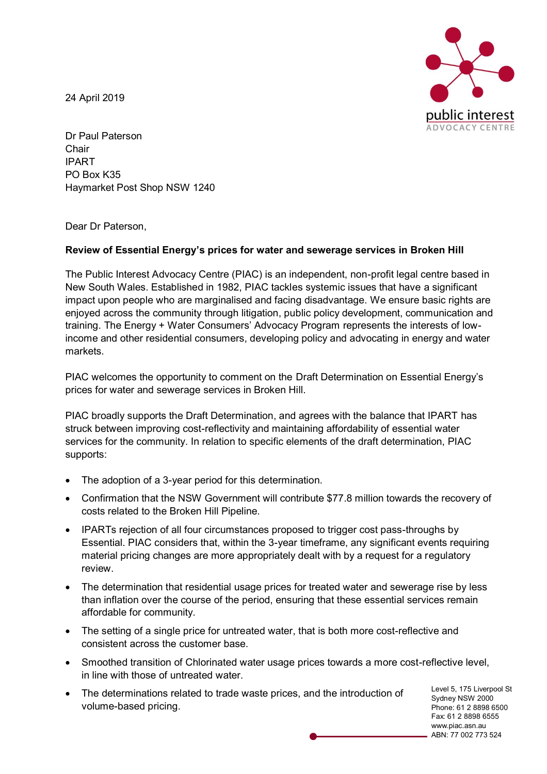24 April 2019



Dr Paul Paterson Chair IPART PO Box K35 Haymarket Post Shop NSW 1240

Dear Dr Paterson,

## **Review of Essential Energy's prices for water and sewerage services in Broken Hill**

The Public Interest Advocacy Centre (PIAC) is an independent, non-profit legal centre based in New South Wales. Established in 1982, PIAC tackles systemic issues that have a significant impact upon people who are marginalised and facing disadvantage. We ensure basic rights are enjoyed across the community through litigation, public policy development, communication and training. The Energy + Water Consumers' Advocacy Program represents the interests of lowincome and other residential consumers, developing policy and advocating in energy and water markets.

PIAC welcomes the opportunity to comment on the Draft Determination on Essential Energy's prices for water and sewerage services in Broken Hill.

PIAC broadly supports the Draft Determination, and agrees with the balance that IPART has struck between improving cost-reflectivity and maintaining affordability of essential water services for the community. In relation to specific elements of the draft determination, PIAC supports:

- The adoption of a 3-year period for this determination.
- Confirmation that the NSW Government will contribute \$77.8 million towards the recovery of costs related to the Broken Hill Pipeline.
- IPARTs rejection of all four circumstances proposed to trigger cost pass-throughs by Essential. PIAC considers that, within the 3-year timeframe, any significant events requiring material pricing changes are more appropriately dealt with by a request for a regulatory review.
- The determination that residential usage prices for treated water and sewerage rise by less than inflation over the course of the period, ensuring that these essential services remain affordable for community.
- The setting of a single price for untreated water, that is both more cost-reflective and consistent across the customer base.
- Smoothed transition of Chlorinated water usage prices towards a more cost-reflective level, in line with those of untreated water.
- The determinations related to trade waste prices, and the introduction of volume-based pricing.

Level 5, 175 Liverpool St Sydney NSW 2000 Phone: 61 2 8898 6500 Fax: 61 2 8898 6555 www.piac.asn.au ABN: 77 002 773 524